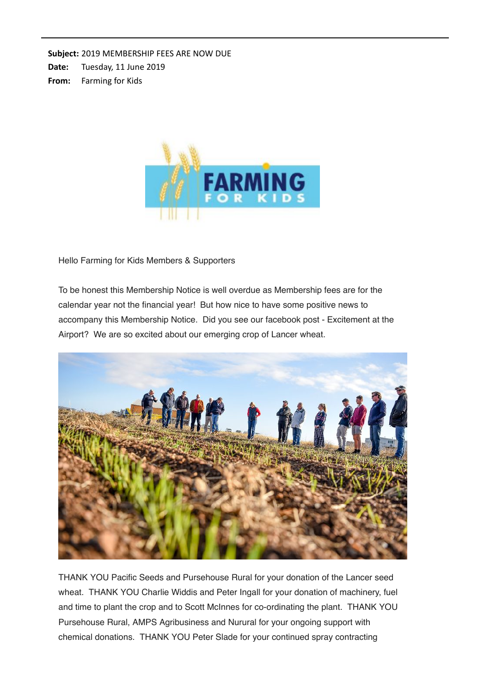Subject: 2019 MEMBERSHIP FEES ARE NOW DUE

Date: Tuesday, 11 June 2019

**From:** Farming for Kids



Hello Farming for Kids Members & Supporters

To be honest this Membership Notice is well overdue as Membership fees are for the calendar year not the financial year! But how nice to have some positive news to accompany this Membership Notice. Did you see our facebook post - Excitement at the Airport? We are so excited about our emerging crop of Lancer wheat.



THANK YOU Pacific Seeds and Pursehouse Rural for your donation of the Lancer seed wheat. THANK YOU Charlie Widdis and Peter Ingall for your donation of machinery, fuel and time to plant the crop and to Scott McInnes for co-ordinating the plant. THANK YOU Pursehouse Rural, AMPS Agribusiness and Nurural for your ongoing support with chemical donations. THANK YOU Peter Slade for your continued spray contracting